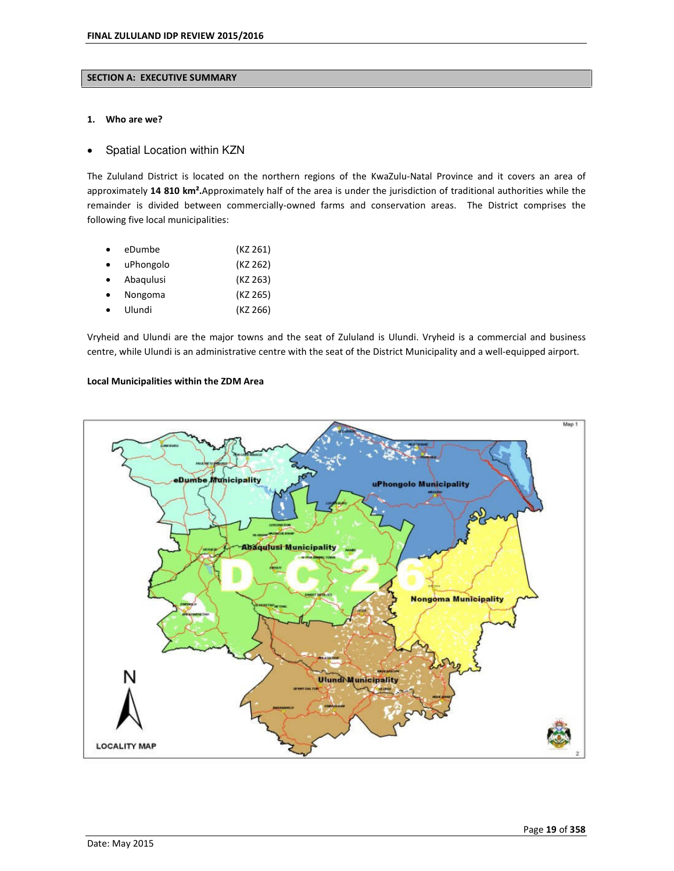#### **SECTION A: EXECUTIVE SUMMARY**

#### **1. Who are we?**

### Spatial Location within KZN

The Zululand District is located on the northern regions of the KwaZulu-Natal Province and it covers an area of approximately **14 810 km².**Approximately half of the area is under the jurisdiction of traditional authorities while the remainder is divided between commercially-owned farms and conservation areas. The District comprises the following five local municipalities:

| eDumbe    | (KZ 261) |
|-----------|----------|
| uPhongolo | (KZ 262) |
| Abagulusi | (KZ 263) |
| Nongoma   | (KZ 265) |
| Ulundi    | (KZ 266) |

Vryheid and Ulundi are the major towns and the seat of Zululand is Ulundi. Vryheid is a commercial and business centre, while Ulundi is an administrative centre with the seat of the District Municipality and a well-equipped airport.

## **Local Municipalities within the ZDM Area**

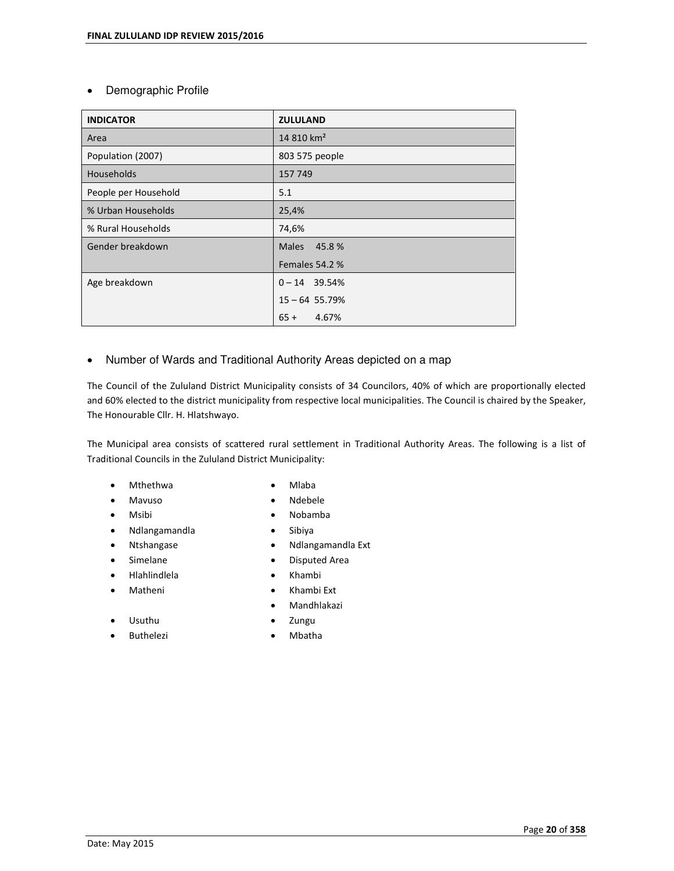# Demographic Profile

| <b>INDICATOR</b>     | <b>ZULULAND</b>        |  |  |
|----------------------|------------------------|--|--|
| Area                 | 14 810 km <sup>2</sup> |  |  |
| Population (2007)    | 803 575 people         |  |  |
| Households           | 157 749                |  |  |
| People per Household | 5.1                    |  |  |
| % Urban Households   | 25,4%                  |  |  |
| % Rural Households   | 74,6%                  |  |  |
| Gender breakdown     | Males 45.8 %           |  |  |
|                      | Females 54.2 %         |  |  |
| Age breakdown        | $0 - 14$ 39.54%        |  |  |
|                      | $15 - 64$ 55.79%       |  |  |
|                      | $65 + 4.67%$           |  |  |

Number of Wards and Traditional Authority Areas depicted on a map

The Council of the Zululand District Municipality consists of 34 Councilors, 40% of which are proportionally elected and 60% elected to the district municipality from respective local municipalities. The Council is chaired by the Speaker, The Honourable Cllr. H. Hlatshwayo.

The Municipal area consists of scattered rural settlement in Traditional Authority Areas. The following is a list of Traditional Councils in the Zululand District Municipality:

- Mthethwa **Music Music Music Music Music Music Music Music Music Music Music Music Music Music Music Music Music**
- Mavuso Ndebele
- 
- Ndlangamandla Sibiya
- 
- 
- 
- 
- Usuthu
- 
- 
- 
- Msibi Nobamba
	-
	- Ntshangase **Calculation Control** Mulangamandla Ext
	- Simelane **Disputed Area**
	- Hlahlindlela Khambi
	- Matheni **Carl Communist Communist Communist Communist Communist Communist Communist Communist Communist Communist Communist Communist Communist Communist Communist Communist Communist Communist Communist Communist Communis** 
		- Mandhlakazi
		- Zungu
	- Buthelezi **•** Mbatha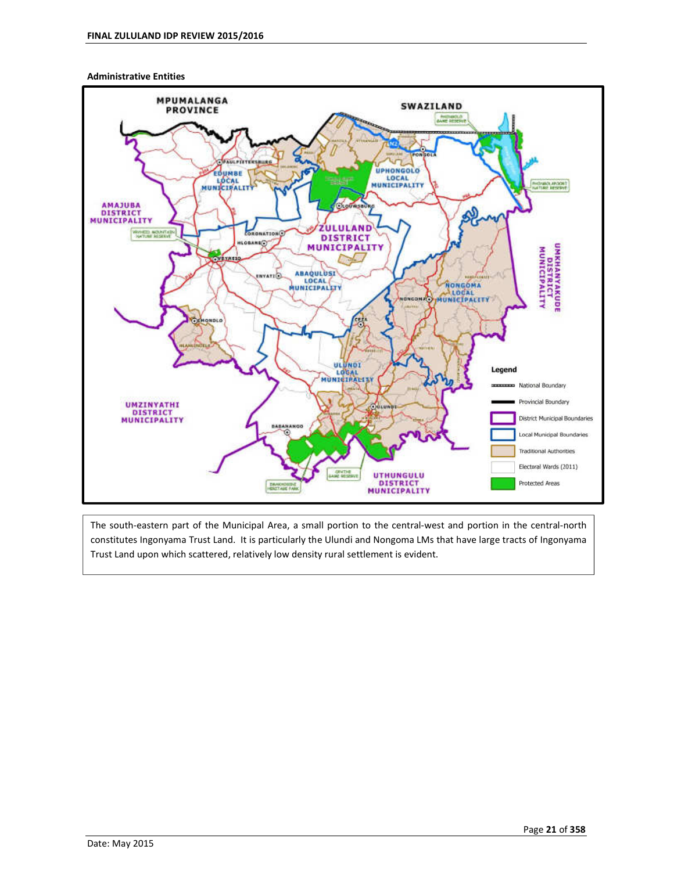#### **Administrative Entities**



The south-eastern part of the Municipal Area, a small portion to the central-west and portion in the central-north constitutes Ingonyama Trust Land. It is particularly the Ulundi and Nongoma LMs that have large tracts of Ingonyama Trust Land upon which scattered, relatively low density rural settlement is evident.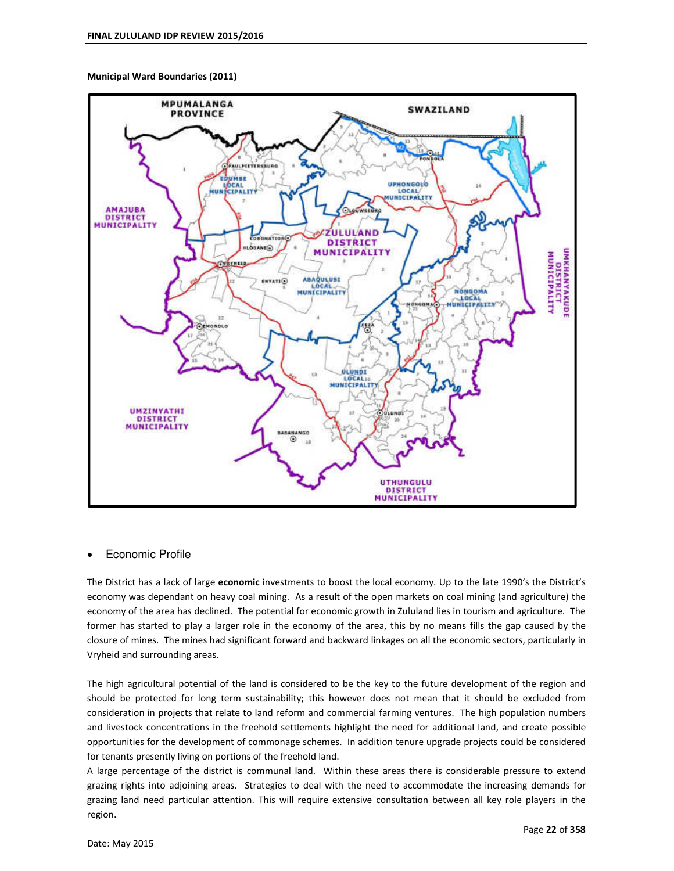**Municipal Ward Boundaries (2011)** 



## • Economic Profile

The District has a lack of large **economic** investments to boost the local economy. Up to the late 1990ís the Districtís economy was dependant on heavy coal mining. As a result of the open markets on coal mining (and agriculture) the economy of the area has declined. The potential for economic growth in Zululand lies in tourism and agriculture. The former has started to play a larger role in the economy of the area, this by no means fills the gap caused by the closure of mines. The mines had significant forward and backward linkages on all the economic sectors, particularly in Vryheid and surrounding areas.

The high agricultural potential of the land is considered to be the key to the future development of the region and should be protected for long term sustainability; this however does not mean that it should be excluded from consideration in projects that relate to land reform and commercial farming ventures. The high population numbers and livestock concentrations in the freehold settlements highlight the need for additional land, and create possible opportunities for the development of commonage schemes. In addition tenure upgrade projects could be considered for tenants presently living on portions of the freehold land.

A large percentage of the district is communal land. Within these areas there is considerable pressure to extend grazing rights into adjoining areas. Strategies to deal with the need to accommodate the increasing demands for grazing land need particular attention. This will require extensive consultation between all key role players in the region.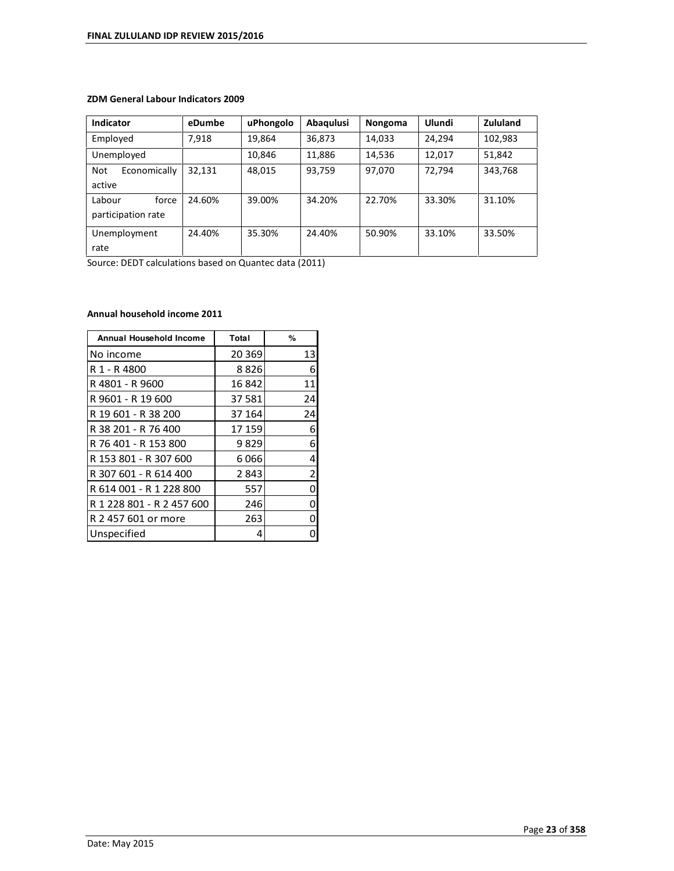## **ZDM General Labour Indicators 2009**

| <b>Indicator</b>                      | eDumbe | uPhongolo | Abaqulusi | Nongoma | Ulundi | Zululand |
|---------------------------------------|--------|-----------|-----------|---------|--------|----------|
| Employed                              | 7.918  | 19,864    | 36,873    | 14,033  | 24,294 | 102,983  |
| Unemployed                            |        | 10,846    | 11,886    | 14,536  | 12,017 | 51,842   |
| Not<br>Economically<br>active         | 32.131 | 48,015    | 93,759    | 97,070  | 72.794 | 343,768  |
| Labour<br>force<br>participation rate | 24.60% | 39.00%    | 34.20%    | 22.70%  | 33.30% | 31.10%   |
| Unemployment<br>rate                  | 24.40% | 35.30%    | 24.40%    | 50.90%  | 33.10% | 33.50%   |

Source: DEDT calculations based on Quantec data (2011)

## **Annual household income 2011**

| Annual Household Income   | Total   | %              |
|---------------------------|---------|----------------|
| No income                 | 20 3 69 | 13             |
| R 1 - R 4800              | 8826    | 6              |
| R 4801 - R 9600           | 16842   | 11             |
| R 9601 - R 19 600         | 37 581  | 24             |
| R 19 601 - R 38 200       | 37 164  | 24             |
| R 38 201 - R 76 400       | 17 159  | 6              |
| R 76 401 - R 153 800      | 9829    | 6              |
| R 153 801 - R 307 600     | 6066    | 4              |
| R 307 601 - R 614 400     | 2843    | $\overline{2}$ |
| R 614 001 - R 1 228 800   | 557     | 0              |
| R 1 228 801 - R 2 457 600 | 246     | ი              |
| R 2 457 601 or more       | 263     | ი              |
| Unspecified               | 4       |                |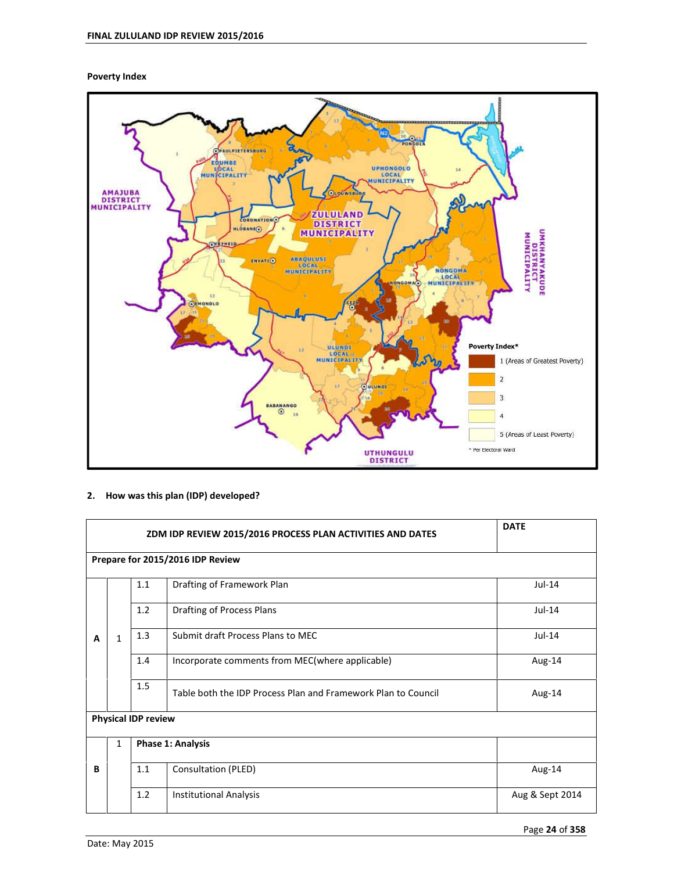**Poverty Index** 



## **2. How was this plan (IDP) developed?**

|                                           |                                                           | <b>DATE</b> |                                                               |          |  |  |  |  |
|-------------------------------------------|-----------------------------------------------------------|-------------|---------------------------------------------------------------|----------|--|--|--|--|
|                                           | Prepare for 2015/2016 IDP Review                          |             |                                                               |          |  |  |  |  |
|                                           |                                                           | 1.1         | Drafting of Framework Plan                                    | $Jul-14$ |  |  |  |  |
|                                           |                                                           | $Jul-14$    |                                                               |          |  |  |  |  |
| A                                         | 1.3<br>Submit draft Process Plans to MEC<br>$Jul-14$<br>1 |             |                                                               |          |  |  |  |  |
|                                           |                                                           | 1.4         | Incorporate comments from MEC(where applicable)               | Aug-14   |  |  |  |  |
|                                           |                                                           | 1.5         | Table both the IDP Process Plan and Framework Plan to Council | Aug-14   |  |  |  |  |
|                                           | <b>Physical IDP review</b>                                |             |                                                               |          |  |  |  |  |
|                                           | $\mathbf{1}$                                              |             | Phase 1: Analysis                                             |          |  |  |  |  |
| Consultation (PLED)<br>1.1<br>Aug-14<br>В |                                                           |             |                                                               |          |  |  |  |  |
|                                           | 1.2<br><b>Institutional Analysis</b><br>Aug & Sept 2014   |             |                                                               |          |  |  |  |  |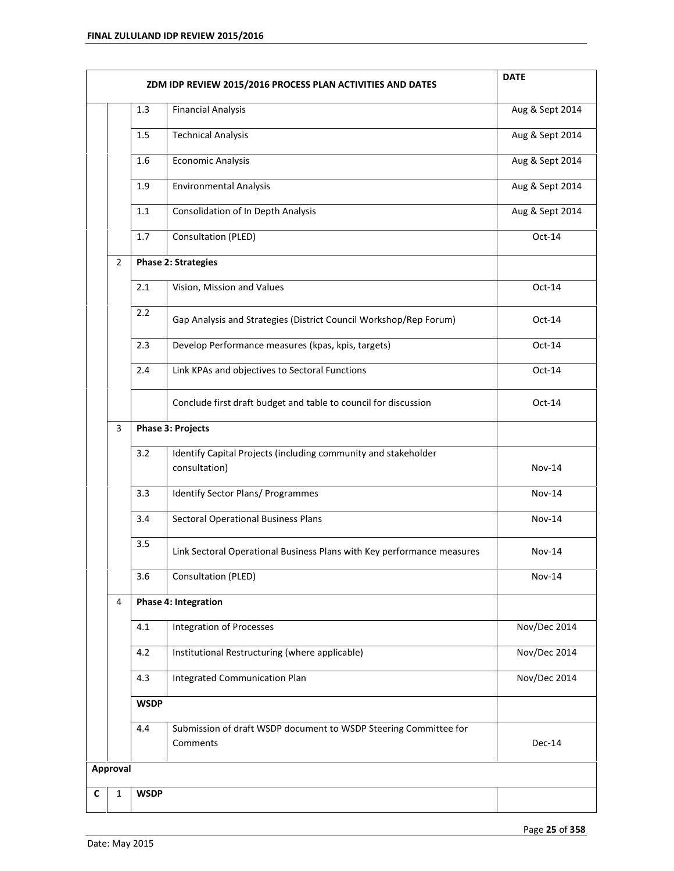|   |                                                       |                                                       | ZDM IDP REVIEW 2015/2016 PROCESS PLAN ACTIVITIES AND DATES                      | <b>DATE</b>     |  |
|---|-------------------------------------------------------|-------------------------------------------------------|---------------------------------------------------------------------------------|-----------------|--|
|   |                                                       | 1.3                                                   | <b>Financial Analysis</b>                                                       | Aug & Sept 2014 |  |
|   |                                                       | 1.5                                                   | <b>Technical Analysis</b>                                                       | Aug & Sept 2014 |  |
|   |                                                       | 1.6                                                   | <b>Economic Analysis</b>                                                        | Aug & Sept 2014 |  |
|   |                                                       | 1.9                                                   | <b>Environmental Analysis</b>                                                   | Aug & Sept 2014 |  |
|   |                                                       | 1.1                                                   | Consolidation of In Depth Analysis                                              | Aug & Sept 2014 |  |
|   |                                                       | 1.7                                                   | Consultation (PLED)                                                             | Oct-14          |  |
|   | $\overline{2}$                                        |                                                       | <b>Phase 2: Strategies</b>                                                      |                 |  |
|   |                                                       | 2.1                                                   | Vision, Mission and Values                                                      | Oct-14          |  |
|   |                                                       | 2.2                                                   | Gap Analysis and Strategies (District Council Workshop/Rep Forum)               | $Oct-14$        |  |
|   |                                                       | 2.3                                                   | Develop Performance measures (kpas, kpis, targets)                              | $Oct-14$        |  |
|   |                                                       | 2.4<br>Link KPAs and objectives to Sectoral Functions |                                                                                 | Oct-14          |  |
|   |                                                       |                                                       | Conclude first draft budget and table to council for discussion                 | $Oct-14$        |  |
|   | <b>Phase 3: Projects</b><br>$\mathbf{3}$              |                                                       |                                                                                 |                 |  |
|   | 3.2                                                   |                                                       | Identify Capital Projects (including community and stakeholder<br>consultation) | <b>Nov-14</b>   |  |
|   |                                                       | 3.3                                                   | <b>Identify Sector Plans/ Programmes</b>                                        | <b>Nov-14</b>   |  |
|   |                                                       | 3.4                                                   | <b>Sectoral Operational Business Plans</b>                                      | <b>Nov-14</b>   |  |
|   |                                                       | 3.5                                                   | Link Sectoral Operational Business Plans with Key performance measures          | <b>Nov-14</b>   |  |
|   |                                                       | 3.6                                                   | Consultation (PLED)                                                             | <b>Nov-14</b>   |  |
|   | 4                                                     |                                                       | Phase 4: Integration                                                            |                 |  |
|   |                                                       | 4.1                                                   | <b>Integration of Processes</b>                                                 | Nov/Dec 2014    |  |
|   | 4.2<br>Institutional Restructuring (where applicable) |                                                       |                                                                                 | Nov/Dec 2014    |  |
|   |                                                       | 4.3                                                   | Nov/Dec 2014                                                                    |                 |  |
|   |                                                       | <b>WSDP</b>                                           |                                                                                 |                 |  |
|   |                                                       | 4.4                                                   | Submission of draft WSDP document to WSDP Steering Committee for<br>Comments    | Dec-14          |  |
|   | Approval                                              |                                                       |                                                                                 |                 |  |
| C | 1                                                     | <b>WSDP</b>                                           |                                                                                 |                 |  |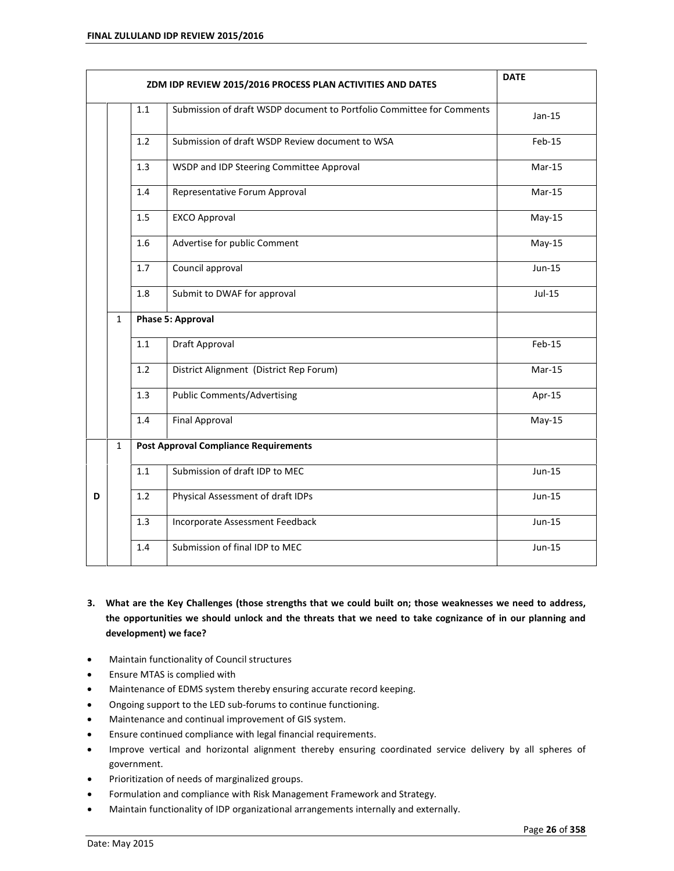|   |              |                   | ZDM IDP REVIEW 2015/2016 PROCESS PLAN ACTIVITIES AND DATES            | <b>DATE</b> |
|---|--------------|-------------------|-----------------------------------------------------------------------|-------------|
|   |              | 1.1               | Submission of draft WSDP document to Portfolio Committee for Comments | $Jan-15$    |
|   |              | 1.2               | Submission of draft WSDP Review document to WSA                       | Feb-15      |
|   |              | 1.3               | $Mar-15$                                                              |             |
|   |              | 1.4               | Representative Forum Approval                                         | $Mar-15$    |
|   |              | 1.5               | <b>EXCO Approval</b>                                                  | $May-15$    |
|   |              | 1.6               | Advertise for public Comment                                          | $May-15$    |
|   |              | 1.7               | Council approval                                                      | Jun-15      |
|   |              | 1.8               | Submit to DWAF for approval                                           | Jul-15      |
|   | $\mathbf{1}$ | Phase 5: Approval |                                                                       |             |
|   |              | 1.1               | Draft Approval                                                        | Feb-15      |
|   |              | 1.2               | District Alignment (District Rep Forum)                               | $Mar-15$    |
|   |              | 1.3               | <b>Public Comments/Advertising</b>                                    | Apr-15      |
|   |              | 1.4               | <b>Final Approval</b>                                                 | $May-15$    |
|   | $\mathbf{1}$ |                   | <b>Post Approval Compliance Requirements</b>                          |             |
|   |              | 1.1               | Submission of draft IDP to MEC                                        | Jun-15      |
| D |              | 1.2               | Physical Assessment of draft IDPs                                     | $Jun-15$    |
|   |              | 1.3               | Incorporate Assessment Feedback                                       | $Jun-15$    |
|   |              | 1.4               | Submission of final IDP to MEC                                        | $Jun-15$    |

- **3. What are the Key Challenges (those strengths that we could built on; those weaknesses we need to address, the opportunities we should unlock and the threats that we need to take cognizance of in our planning and development) we face?**
- Maintain functionality of Council structures
- Ensure MTAS is complied with
- Maintenance of EDMS system thereby ensuring accurate record keeping.
- Ongoing support to the LED sub-forums to continue functioning.
- Maintenance and continual improvement of GIS system.
- Ensure continued compliance with legal financial requirements.
- Improve vertical and horizontal alignment thereby ensuring coordinated service delivery by all spheres of government.
- Prioritization of needs of marginalized groups.
- Formulation and compliance with Risk Management Framework and Strategy.
- Maintain functionality of IDP organizational arrangements internally and externally.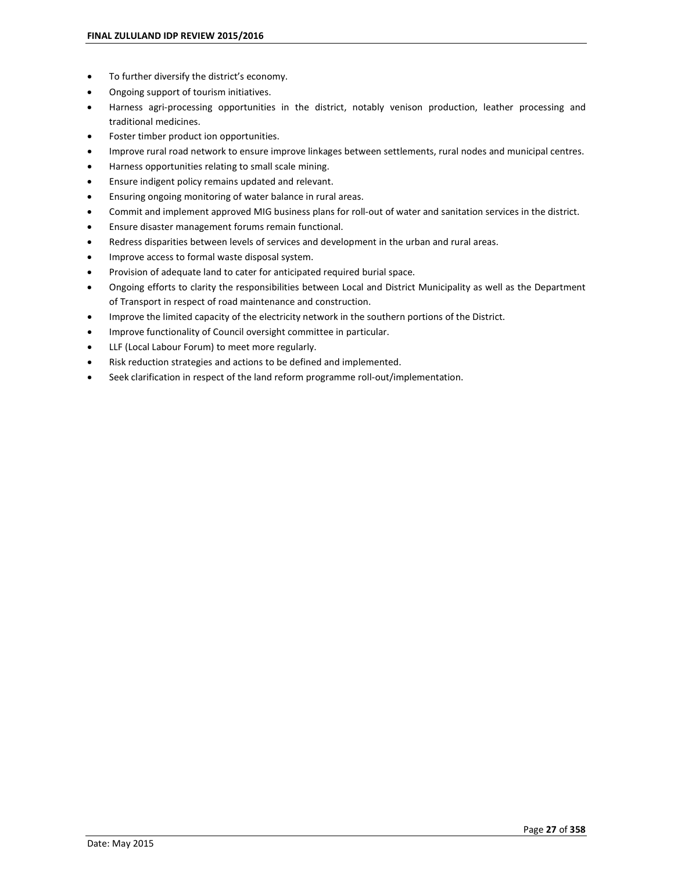- To further diversify the district's economy.
- Ongoing support of tourism initiatives.
- Harness agri-processing opportunities in the district, notably venison production, leather processing and traditional medicines.
- Foster timber product ion opportunities.
- Improve rural road network to ensure improve linkages between settlements, rural nodes and municipal centres.
- Harness opportunities relating to small scale mining.
- Ensure indigent policy remains updated and relevant.
- Ensuring ongoing monitoring of water balance in rural areas.
- Commit and implement approved MIG business plans for roll-out of water and sanitation services in the district.
- Ensure disaster management forums remain functional.
- Redress disparities between levels of services and development in the urban and rural areas.
- Improve access to formal waste disposal system.
- Provision of adequate land to cater for anticipated required burial space.
- Ongoing efforts to clarity the responsibilities between Local and District Municipality as well as the Department of Transport in respect of road maintenance and construction.
- Improve the limited capacity of the electricity network in the southern portions of the District.
- Improve functionality of Council oversight committee in particular.
- LLF (Local Labour Forum) to meet more regularly.
- Risk reduction strategies and actions to be defined and implemented.
- Seek clarification in respect of the land reform programme roll-out/implementation.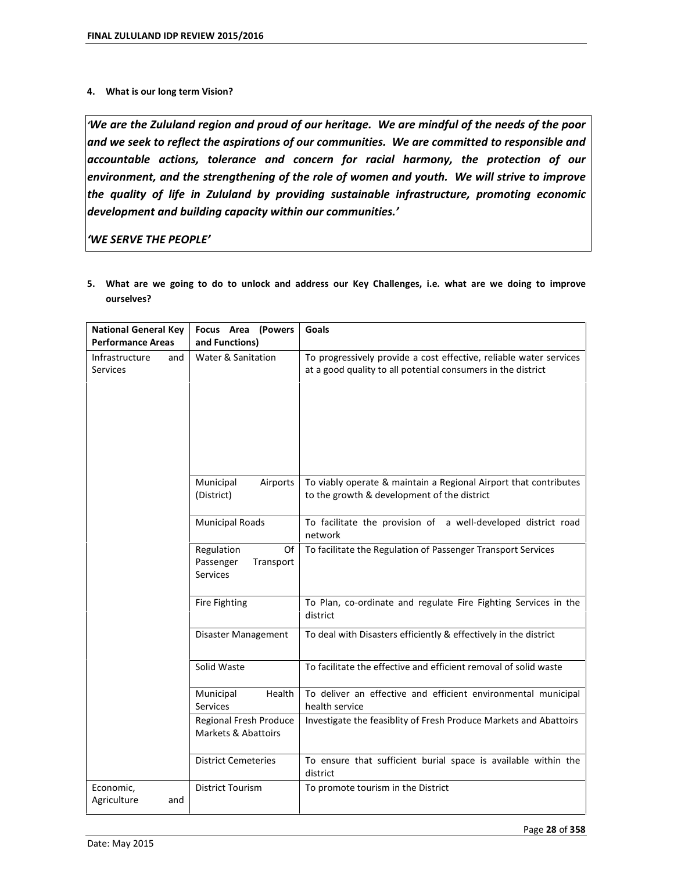## **4. What is our long term Vision?**

*ëWe are the Zululand region and proud of our heritage. We are mindful of the needs of the poor and we seek to reflect the aspirations of our communities. We are committed to responsible and accountable actions, tolerance and concern for racial harmony, the protection of our environment, and the strengthening of the role of women and youth. We will strive to improve the quality of life in Zululand by providing sustainable infrastructure, promoting economic development and building capacity within our communities.í*

*ëWE SERVE THE PEOPLEí*

| <b>National General Key</b><br><b>Performance Areas</b> | Focus Area<br>(Powers<br>and Functions)                       | Goals                                                                                                                              |  |  |  |
|---------------------------------------------------------|---------------------------------------------------------------|------------------------------------------------------------------------------------------------------------------------------------|--|--|--|
| Infrastructure<br>and<br><b>Services</b>                | Water & Sanitation                                            | To progressively provide a cost effective, reliable water services<br>at a good quality to all potential consumers in the district |  |  |  |
|                                                         | Municipal<br>Airports<br>(District)                           | To viably operate & maintain a Regional Airport that contributes<br>to the growth & development of the district                    |  |  |  |
|                                                         | <b>Municipal Roads</b>                                        | To facilitate the provision of a well-developed district road<br>network                                                           |  |  |  |
|                                                         | Regulation<br>Of<br>Passenger<br>Transport<br><b>Services</b> | To facilitate the Regulation of Passenger Transport Services                                                                       |  |  |  |
|                                                         | Fire Fighting                                                 | To Plan, co-ordinate and regulate Fire Fighting Services in the<br>district                                                        |  |  |  |
|                                                         | Disaster Management                                           | To deal with Disasters efficiently & effectively in the district                                                                   |  |  |  |
|                                                         | Solid Waste                                                   | To facilitate the effective and efficient removal of solid waste                                                                   |  |  |  |
|                                                         | Municipal<br>Health<br>Services                               | To deliver an effective and efficient environmental municipal<br>health service                                                    |  |  |  |
|                                                         | Regional Fresh Produce<br>Markets & Abattoirs                 | Investigate the feasiblity of Fresh Produce Markets and Abattoirs                                                                  |  |  |  |
|                                                         | <b>District Cemeteries</b>                                    | To ensure that sufficient burial space is available within the<br>district                                                         |  |  |  |
| Economic,<br>Agriculture<br>and                         | <b>District Tourism</b>                                       | To promote tourism in the District                                                                                                 |  |  |  |

**5. What are we going to do to unlock and address our Key Challenges, i.e. what are we doing to improve ourselves?**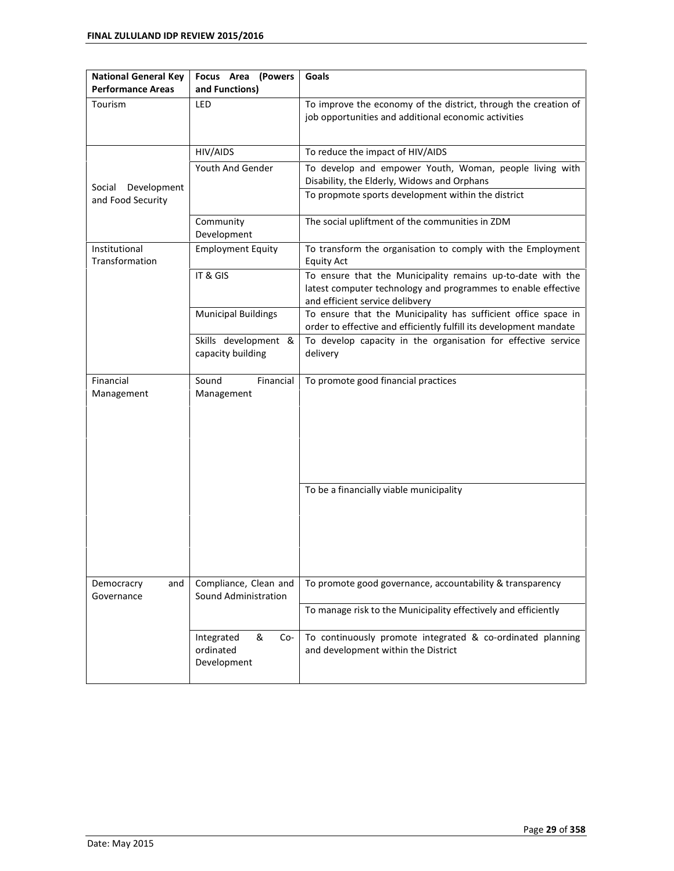| <b>National General Key</b><br><b>Performance Areas</b> | Focus Area<br>(Powers<br>and Functions)            | Goals                                                                                                                                                           |  |  |  |  |
|---------------------------------------------------------|----------------------------------------------------|-----------------------------------------------------------------------------------------------------------------------------------------------------------------|--|--|--|--|
| Tourism                                                 | LED                                                | To improve the economy of the district, through the creation of<br>job opportunities and additional economic activities                                         |  |  |  |  |
|                                                         | HIV/AIDS                                           | To reduce the impact of HIV/AIDS                                                                                                                                |  |  |  |  |
| Social<br>Development                                   | Youth And Gender                                   | To develop and empower Youth, Woman, people living with<br>Disability, the Elderly, Widows and Orphans                                                          |  |  |  |  |
| and Food Security                                       |                                                    | To propmote sports development within the district                                                                                                              |  |  |  |  |
|                                                         | Community<br>Development                           | The social upliftment of the communities in ZDM                                                                                                                 |  |  |  |  |
| Institutional<br>Transformation                         | <b>Employment Equity</b>                           | To transform the organisation to comply with the Employment<br><b>Equity Act</b>                                                                                |  |  |  |  |
|                                                         | IT & GIS                                           | To ensure that the Municipality remains up-to-date with the<br>latest computer technology and programmes to enable effective<br>and efficient service delibvery |  |  |  |  |
|                                                         | <b>Municipal Buildings</b>                         | To ensure that the Municipality has sufficient office space in<br>order to effective and efficiently fulfill its development mandate                            |  |  |  |  |
|                                                         | Skills development &<br>capacity building          | To develop capacity in the organisation for effective service<br>delivery                                                                                       |  |  |  |  |
| Financial<br>Management                                 | Sound<br>Financial<br>Management                   | To promote good financial practices                                                                                                                             |  |  |  |  |
|                                                         |                                                    | To be a financially viable municipality                                                                                                                         |  |  |  |  |
| Democracry<br>and<br>Governance                         | Compliance, Clean and<br>Sound Administration      | To promote good governance, accountability & transparency                                                                                                       |  |  |  |  |
|                                                         |                                                    | To manage risk to the Municipality effectively and efficiently                                                                                                  |  |  |  |  |
|                                                         | &<br>Integrated<br>Co-<br>ordinated<br>Development | To continuously promote integrated & co-ordinated planning<br>and development within the District                                                               |  |  |  |  |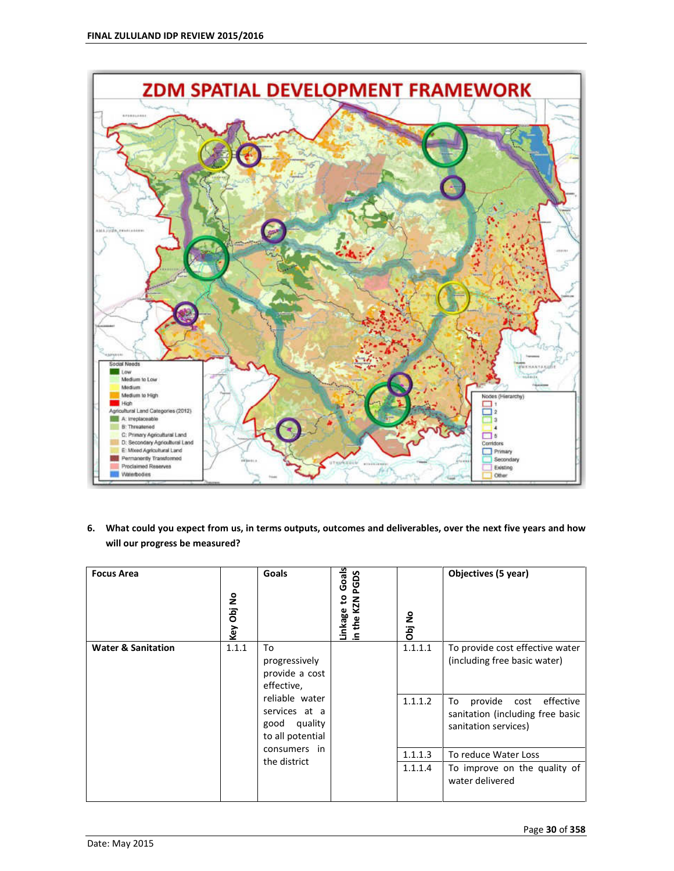

**6. What could you expect from us, in terms outputs, outcomes and deliverables, over the next five years and how will our progress be measured?** 

| <b>Focus Area</b>             | Key Obj No | Goals                                                               | Goals<br>PGDS<br>₽<br>KZN<br>Linkage<br>in the K. | å<br>Obj | Objectives (5 year)                                                                         |
|-------------------------------|------------|---------------------------------------------------------------------|---------------------------------------------------|----------|---------------------------------------------------------------------------------------------|
| <b>Water &amp; Sanitation</b> | 1.1.1      | To<br>progressively<br>provide a cost<br>effective,                 |                                                   | 1.1.1.1  | To provide cost effective water<br>(including free basic water)                             |
|                               |            | reliable water<br>services at a<br>good quality<br>to all potential |                                                   | 1.1.1.2  | effective<br>provide cost<br>To<br>sanitation (including free basic<br>sanitation services) |
|                               |            | consumers in                                                        |                                                   | 1.1.1.3  | To reduce Water Loss                                                                        |
|                               |            | the district                                                        |                                                   | 1.1.1.4  | To improve on the quality of<br>water delivered                                             |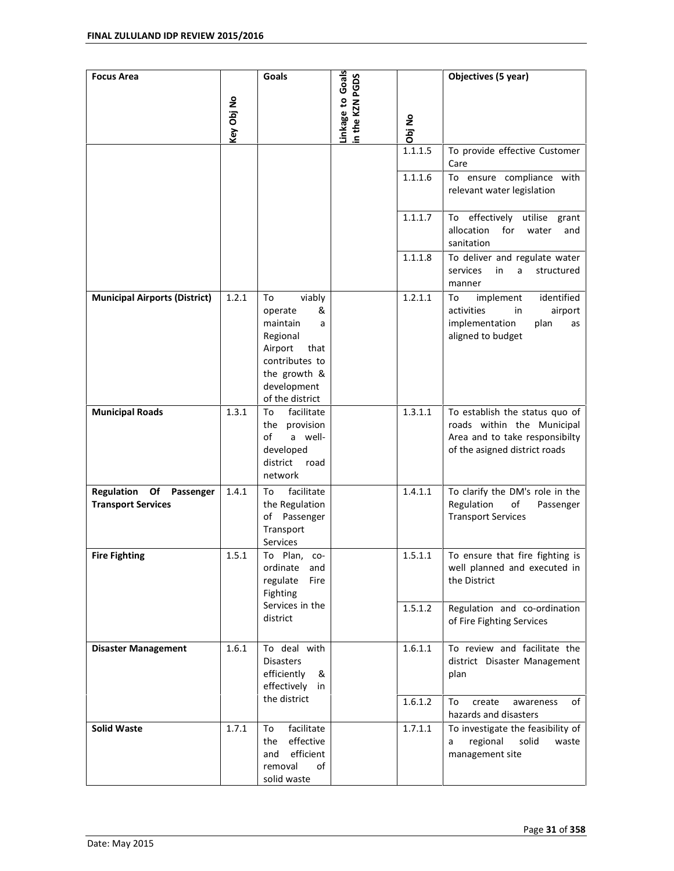| <b>Focus Area</b>                                                 |            | Goals                                                                                                                                            |                                    |         | Objectives (5 year)                                                                                                             |
|-------------------------------------------------------------------|------------|--------------------------------------------------------------------------------------------------------------------------------------------------|------------------------------------|---------|---------------------------------------------------------------------------------------------------------------------------------|
|                                                                   | Key Obj No |                                                                                                                                                  | Linkage to Goals<br>n the KZN PGDS | Obj No  |                                                                                                                                 |
|                                                                   |            |                                                                                                                                                  |                                    | 1.1.1.5 | To provide effective Customer<br>Care                                                                                           |
|                                                                   |            |                                                                                                                                                  |                                    | 1.1.1.6 | To ensure compliance with<br>relevant water legislation                                                                         |
|                                                                   |            |                                                                                                                                                  |                                    | 1.1.1.7 | To effectively utilise grant<br>allocation<br>for<br>water<br>and<br>sanitation                                                 |
|                                                                   |            |                                                                                                                                                  |                                    | 1.1.1.8 | To deliver and regulate water<br>services<br>in<br>a<br>structured<br>manner                                                    |
| <b>Municipal Airports (District)</b>                              | 1.2.1      | viably<br>To<br>operate<br>&<br>maintain<br>a<br>Regional<br>Airport<br>that<br>contributes to<br>the growth &<br>development<br>of the district |                                    | 1.2.1.1 | implement<br>identified<br>To<br>activities<br>in<br>airport<br>implementation<br>plan<br>as<br>aligned to budget               |
| <b>Municipal Roads</b>                                            | 1.3.1      | facilitate<br>To<br>the provision<br>of<br>a well-<br>developed<br>district<br>road<br>network                                                   |                                    | 1.3.1.1 | To establish the status quo of<br>roads within the Municipal<br>Area and to take responsibilty<br>of the asigned district roads |
| <b>Regulation</b><br>Of<br>Passenger<br><b>Transport Services</b> | 1.4.1      | facilitate<br>To<br>the Regulation<br>of Passenger<br>Transport<br>Services                                                                      |                                    | 1.4.1.1 | To clarify the DM's role in the<br>Regulation<br>of<br>Passenger<br><b>Transport Services</b>                                   |
| <b>Fire Fighting</b>                                              | 1.5.1      | To<br>Plan,<br>CO-<br>ordinate<br>and<br>regulate<br>Fire<br>Fighting<br>Services in the                                                         |                                    | 1.5.1.1 | To ensure that fire fighting is<br>well planned and executed in<br>the District                                                 |
|                                                                   |            | district                                                                                                                                         |                                    | 1.5.1.2 | Regulation and co-ordination<br>of Fire Fighting Services                                                                       |
| <b>Disaster Management</b>                                        | 1.6.1      | To deal with<br><b>Disasters</b><br>efficiently<br>&<br>effectively<br>in                                                                        |                                    | 1.6.1.1 | To review and facilitate the<br>district Disaster Management<br>plan                                                            |
|                                                                   |            | the district                                                                                                                                     |                                    | 1.6.1.2 | create<br>of<br>To<br>awareness<br>hazards and disasters                                                                        |
| <b>Solid Waste</b>                                                | 1.7.1      | facilitate<br>To<br>effective<br>the<br>efficient<br>and<br>removal<br>of<br>solid waste                                                         |                                    | 1.7.1.1 | To investigate the feasibility of<br>regional<br>solid<br>waste<br>a<br>management site                                         |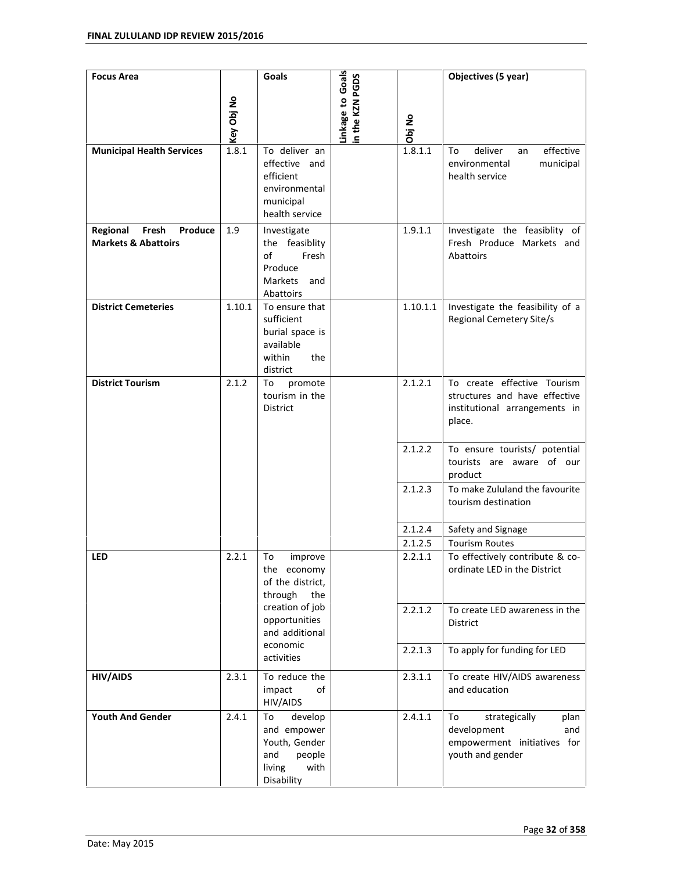| <b>Focus Area</b>                                              |            | Goals                                                                                          | Linkage to Goals<br>n the KZN PGDS |          | Objectives (5 year)                                                                                     |
|----------------------------------------------------------------|------------|------------------------------------------------------------------------------------------------|------------------------------------|----------|---------------------------------------------------------------------------------------------------------|
|                                                                | Key Obj No |                                                                                                |                                    | Obj No   |                                                                                                         |
| <b>Municipal Health Services</b>                               | 1.8.1      | To deliver an<br>effective and<br>efficient<br>environmental<br>municipal<br>health service    |                                    | 1.8.1.1  | effective<br>deliver<br>To<br>an<br>environmental<br>municipal<br>health service                        |
| Regional<br>Fresh<br>Produce<br><b>Markets &amp; Abattoirs</b> | 1.9        | Investigate<br>the feasiblity<br>of<br>Fresh<br>Produce<br>Markets<br>and<br>Abattoirs         |                                    | 1.9.1.1  | Investigate the feasiblity of<br>Fresh Produce Markets and<br>Abattoirs                                 |
| <b>District Cemeteries</b>                                     | 1.10.1     | To ensure that<br>sufficient<br>burial space is<br>available<br>within<br>the<br>district      |                                    | 1.10.1.1 | Investigate the feasibility of a<br>Regional Cemetery Site/s                                            |
| <b>District Tourism</b>                                        | 2.1.2      | To<br>promote<br>tourism in the<br>District                                                    |                                    | 2.1.2.1  | To create effective Tourism<br>structures and have effective<br>institutional arrangements in<br>place. |
|                                                                |            |                                                                                                |                                    | 2.1.2.2  | To ensure tourists/ potential<br>tourists are aware of our<br>product                                   |
|                                                                |            |                                                                                                |                                    | 2.1.2.3  | To make Zululand the favourite<br>tourism destination                                                   |
|                                                                |            |                                                                                                |                                    | 2.1.2.4  | Safety and Signage                                                                                      |
|                                                                |            |                                                                                                |                                    | 2.1.2.5  | <b>Tourism Routes</b>                                                                                   |
| <b>LED</b>                                                     | 2.2.1      | To<br>improve<br>the economy<br>of the district,<br>through<br>the                             |                                    | 2.2.1.1  | To effectively contribute & co-<br>ordinate LED in the District                                         |
|                                                                |            | creation of job<br>opportunities<br>and additional                                             |                                    | 2.2.1.2  | To create LED awareness in the<br>District                                                              |
|                                                                |            | economic<br>activities                                                                         |                                    | 2.2.1.3  | To apply for funding for LED                                                                            |
| <b>HIV/AIDS</b>                                                | 2.3.1      | To reduce the<br>impact<br>of<br>HIV/AIDS                                                      |                                    | 2.3.1.1  | To create HIV/AIDS awareness<br>and education                                                           |
| <b>Youth And Gender</b>                                        | 2.4.1      | To<br>develop<br>and empower<br>Youth, Gender<br>and<br>people<br>living<br>with<br>Disability |                                    | 2.4.1.1  | strategically<br>To<br>plan<br>development<br>and<br>empowerment initiatives for<br>youth and gender    |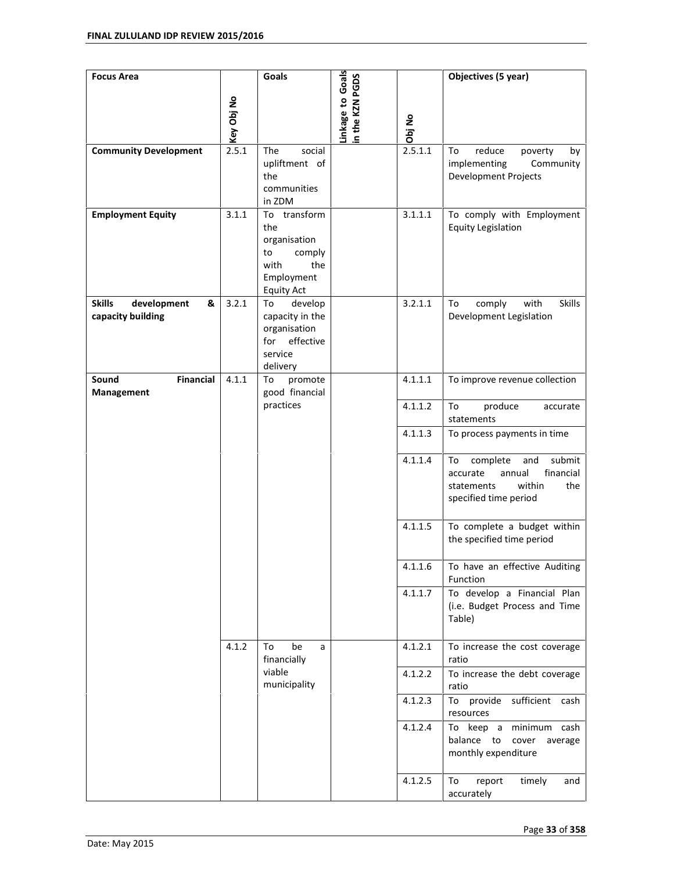| <b>Focus Area</b>                              |                     | Goals                                                                                 |                                     |                   | Objectives (5 year)                                                                                                        |
|------------------------------------------------|---------------------|---------------------------------------------------------------------------------------|-------------------------------------|-------------------|----------------------------------------------------------------------------------------------------------------------------|
| <b>Community Development</b>                   | Key Obj No<br>2.5.1 | social<br>The<br>upliftment of<br>the<br>communities                                  | Linkage to Goals<br>in the KZN PGDS | Obj No<br>2.5.1.1 | To<br>reduce<br>poverty<br>by<br>implementing<br>Community<br><b>Development Projects</b>                                  |
| <b>Employment Equity</b>                       | 3.1.1               | in ZDM<br>To transform                                                                |                                     | 3.1.1.1           | To comply with Employment                                                                                                  |
|                                                |                     | the<br>organisation<br>comply<br>to<br>with<br>the<br>Employment<br><b>Equity Act</b> |                                     |                   | <b>Equity Legislation</b>                                                                                                  |
| <b>Skills</b><br>development<br>&              | 3.2.1               | To<br>develop                                                                         |                                     | 3.2.1.1           | <b>Skills</b><br>comply<br>with<br>To                                                                                      |
| capacity building                              |                     | capacity in the<br>organisation<br>effective<br>for<br>service<br>delivery            |                                     |                   | Development Legislation                                                                                                    |
| Sound<br><b>Financial</b><br><b>Management</b> | 4.1.1               | To<br>promote<br>good financial                                                       |                                     | 4.1.1.1           | To improve revenue collection                                                                                              |
|                                                |                     | practices                                                                             |                                     | 4.1.1.2           | To<br>produce<br>accurate<br>statements                                                                                    |
|                                                |                     |                                                                                       |                                     | 4.1.1.3           | To process payments in time                                                                                                |
|                                                |                     |                                                                                       |                                     | 4.1.1.4           | submit<br>To<br>complete<br>and<br>financial<br>accurate<br>annual<br>the<br>statements<br>within<br>specified time period |
|                                                |                     |                                                                                       |                                     | 4.1.1.5           | To complete a budget within<br>the specified time period                                                                   |
|                                                |                     |                                                                                       |                                     | 4.1.1.6           | To have an effective Auditing<br>Function                                                                                  |
|                                                |                     |                                                                                       |                                     | 4.1.1.7           | To develop a Financial Plan<br>(i.e. Budget Process and Time<br>Table)                                                     |
|                                                | 4.1.2               | To<br>be<br>a<br>financially<br>viable<br>municipality                                |                                     | 4.1.2.1           | To increase the cost coverage<br>ratio                                                                                     |
|                                                |                     |                                                                                       |                                     | 4.1.2.2           | To increase the debt coverage<br>ratio                                                                                     |
|                                                |                     |                                                                                       |                                     | 4.1.2.3           | sufficient<br>To provide<br>cash<br>resources                                                                              |
|                                                |                     |                                                                                       |                                     | 4.1.2.4           | To keep a<br>minimum cash<br>balance to<br>cover<br>average<br>monthly expenditure                                         |
|                                                |                     |                                                                                       |                                     | 4.1.2.5           | To<br>report<br>timely<br>and<br>accurately                                                                                |